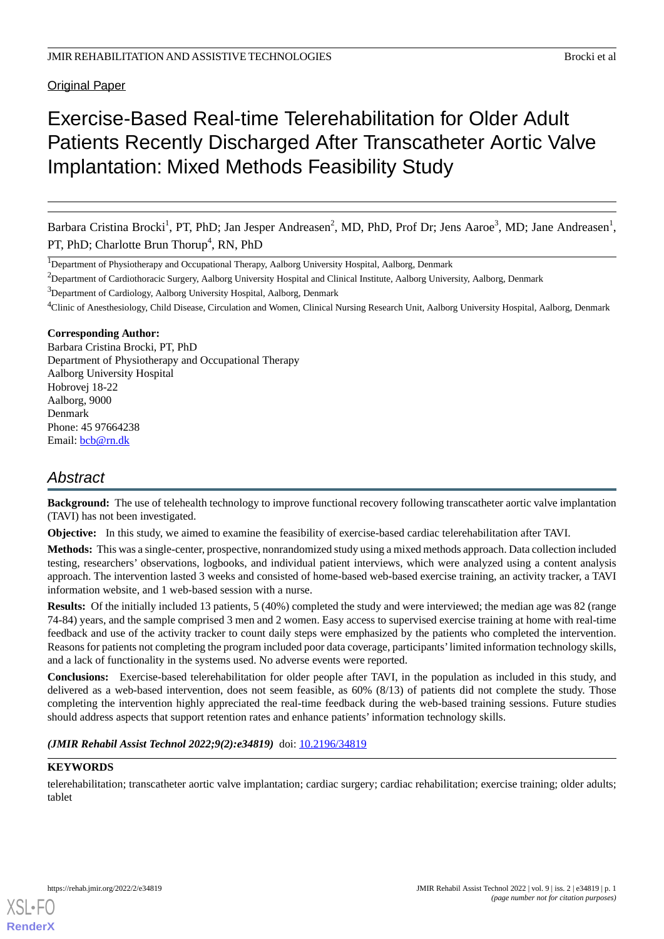Original Paper

# Exercise-Based Real-time Telerehabilitation for Older Adult Patients Recently Discharged After Transcatheter Aortic Valve Implantation: Mixed Methods Feasibility Study

Barbara Cristina Brocki<sup>1</sup>, PT, PhD; Jan Jesper Andreasen<sup>2</sup>, MD, PhD, Prof Dr; Jens Aaroe<sup>3</sup>, MD; Jane Andreasen<sup>1</sup>, PT, PhD; Charlotte Brun Thorup<sup>4</sup>, RN, PhD

<sup>2</sup>Department of Cardiothoracic Surgery, Aalborg University Hospital and Clinical Institute, Aalborg University, Aalborg, Denmark

<sup>3</sup>Department of Cardiology, Aalborg University Hospital, Aalborg, Denmark

<sup>4</sup>Clinic of Anesthesiology, Child Disease, Circulation and Women, Clinical Nursing Research Unit, Aalborg University Hospital, Aalborg, Denmark

# **Corresponding Author:**

Barbara Cristina Brocki, PT, PhD Department of Physiotherapy and Occupational Therapy Aalborg University Hospital Hobrovej 18-22 Aalborg, 9000 Denmark Phone: 45 97664238 Email: [bcb@rn.dk](mailto:bcb@rn.dk)

# *Abstract*

**Background:** The use of telehealth technology to improve functional recovery following transcatheter aortic valve implantation (TAVI) has not been investigated.

**Objective:** In this study, we aimed to examine the feasibility of exercise-based cardiac telerehabilitation after TAVI.

**Methods:** This was a single-center, prospective, nonrandomized study using a mixed methods approach. Data collection included testing, researchers' observations, logbooks, and individual patient interviews, which were analyzed using a content analysis approach. The intervention lasted 3 weeks and consisted of home-based web-based exercise training, an activity tracker, a TAVI information website, and 1 web-based session with a nurse.

**Results:** Of the initially included 13 patients, 5 (40%) completed the study and were interviewed; the median age was 82 (range 74-84) years, and the sample comprised 3 men and 2 women. Easy access to supervised exercise training at home with real-time feedback and use of the activity tracker to count daily steps were emphasized by the patients who completed the intervention. Reasons for patients not completing the program included poor data coverage, participants'limited information technology skills, and a lack of functionality in the systems used. No adverse events were reported.

**Conclusions:** Exercise-based telerehabilitation for older people after TAVI, in the population as included in this study, and delivered as a web-based intervention, does not seem feasible, as 60% (8/13) of patients did not complete the study. Those completing the intervention highly appreciated the real-time feedback during the web-based training sessions. Future studies should address aspects that support retention rates and enhance patients' information technology skills.

# *(JMIR Rehabil Assist Technol 2022;9(2):e34819)* doi: [10.2196/34819](http://dx.doi.org/10.2196/34819)

# **KEYWORDS**

telerehabilitation; transcatheter aortic valve implantation; cardiac surgery; cardiac rehabilitation; exercise training; older adults; tablet

<sup>&</sup>lt;sup>1</sup>Department of Physiotherapy and Occupational Therapy, Aalborg University Hospital, Aalborg, Denmark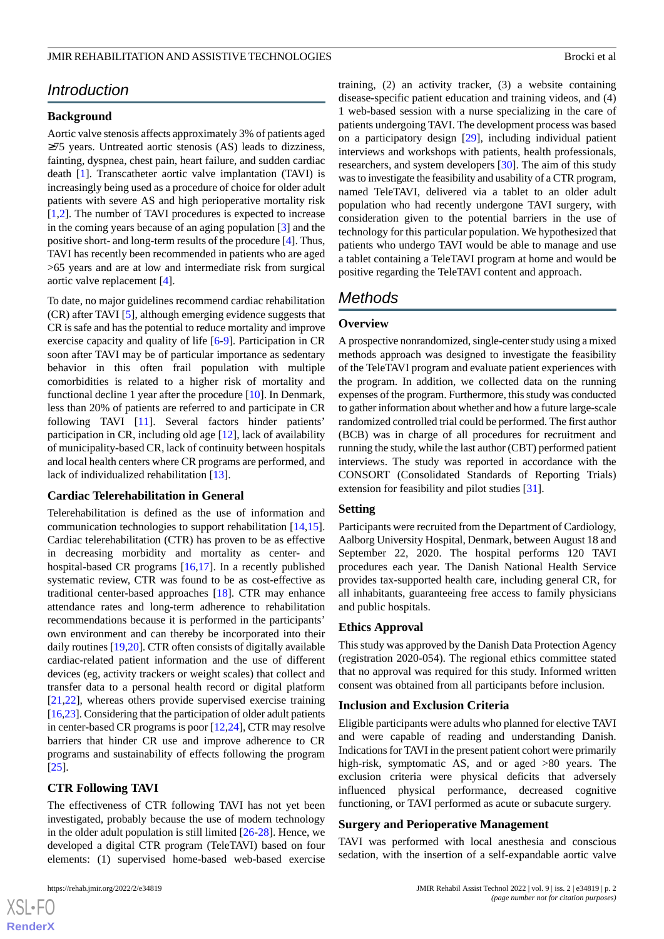# *Introduction*

### **Background**

Aortic valve stenosis affects approximately 3% of patients aged  $\geq$ 75 years. Untreated aortic stenosis (AS) leads to dizziness, fainting, dyspnea, chest pain, heart failure, and sudden cardiac death [[1\]](#page-9-0). Transcatheter aortic valve implantation (TAVI) is increasingly being used as a procedure of choice for older adult patients with severe AS and high perioperative mortality risk [[1](#page-9-0)[,2](#page-9-1)]. The number of TAVI procedures is expected to increase in the coming years because of an aging population [\[3](#page-9-2)] and the positive short- and long-term results of the procedure [\[4](#page-10-0)]. Thus, TAVI has recently been recommended in patients who are aged >65 years and are at low and intermediate risk from surgical aortic valve replacement [\[4](#page-10-0)].

To date, no major guidelines recommend cardiac rehabilitation (CR) after TAVI [[5\]](#page-10-1), although emerging evidence suggests that CR is safe and has the potential to reduce mortality and improve exercise capacity and quality of life [\[6](#page-10-2)[-9](#page-10-3)]. Participation in CR soon after TAVI may be of particular importance as sedentary behavior in this often frail population with multiple comorbidities is related to a higher risk of mortality and functional decline 1 year after the procedure [\[10](#page-10-4)]. In Denmark, less than 20% of patients are referred to and participate in CR following TAVI [[11\]](#page-10-5). Several factors hinder patients' participation in CR, including old age [\[12](#page-10-6)], lack of availability of municipality-based CR, lack of continuity between hospitals and local health centers where CR programs are performed, and lack of individualized rehabilitation [\[13](#page-10-7)].

#### **Cardiac Telerehabilitation in General**

Telerehabilitation is defined as the use of information and communication technologies to support rehabilitation [\[14](#page-10-8),[15\]](#page-10-9). Cardiac telerehabilitation (CTR) has proven to be as effective in decreasing morbidity and mortality as center- and hospital-based CR programs [\[16](#page-10-10),[17\]](#page-10-11). In a recently published systematic review, CTR was found to be as cost-effective as traditional center-based approaches [\[18](#page-10-12)]. CTR may enhance attendance rates and long-term adherence to rehabilitation recommendations because it is performed in the participants' own environment and can thereby be incorporated into their daily routines [\[19](#page-10-13),[20\]](#page-10-14). CTR often consists of digitally available cardiac-related patient information and the use of different devices (eg, activity trackers or weight scales) that collect and transfer data to a personal health record or digital platform [[21](#page-10-15)[,22](#page-10-16)], whereas others provide supervised exercise training [[16,](#page-10-10)[23\]](#page-10-17). Considering that the participation of older adult patients in center-based CR programs is poor [[12](#page-10-6)[,24](#page-11-0)], CTR may resolve barriers that hinder CR use and improve adherence to CR programs and sustainability of effects following the program [[25\]](#page-11-1).

# **CTR Following TAVI**

The effectiveness of CTR following TAVI has not yet been investigated, probably because the use of modern technology in the older adult population is still limited  $[26-28]$  $[26-28]$  $[26-28]$ . Hence, we developed a digital CTR program (TeleTAVI) based on four elements: (1) supervised home-based web-based exercise

training, (2) an activity tracker, (3) a website containing disease-specific patient education and training videos, and (4) 1 web-based session with a nurse specializing in the care of patients undergoing TAVI. The development process was based on a participatory design [[29\]](#page-11-4), including individual patient interviews and workshops with patients, health professionals, researchers, and system developers [[30\]](#page-11-5). The aim of this study was to investigate the feasibility and usability of a CTR program, named TeleTAVI, delivered via a tablet to an older adult population who had recently undergone TAVI surgery, with consideration given to the potential barriers in the use of technology for this particular population. We hypothesized that patients who undergo TAVI would be able to manage and use a tablet containing a TeleTAVI program at home and would be positive regarding the TeleTAVI content and approach.

# *Methods*

### **Overview**

A prospective nonrandomized, single-center study using a mixed methods approach was designed to investigate the feasibility of the TeleTAVI program and evaluate patient experiences with the program. In addition, we collected data on the running expenses of the program. Furthermore, this study was conducted to gather information about whether and how a future large-scale randomized controlled trial could be performed. The first author (BCB) was in charge of all procedures for recruitment and running the study, while the last author (CBT) performed patient interviews. The study was reported in accordance with the CONSORT (Consolidated Standards of Reporting Trials) extension for feasibility and pilot studies [\[31](#page-11-6)].

### **Setting**

Participants were recruited from the Department of Cardiology, Aalborg University Hospital, Denmark, between August 18 and September 22, 2020. The hospital performs 120 TAVI procedures each year. The Danish National Health Service provides tax-supported health care, including general CR, for all inhabitants, guaranteeing free access to family physicians and public hospitals.

#### **Ethics Approval**

This study was approved by the Danish Data Protection Agency (registration 2020-054). The regional ethics committee stated that no approval was required for this study. Informed written consent was obtained from all participants before inclusion.

### **Inclusion and Exclusion Criteria**

Eligible participants were adults who planned for elective TAVI and were capable of reading and understanding Danish. Indications for TAVI in the present patient cohort were primarily high-risk, symptomatic AS, and or aged  $>80$  years. The exclusion criteria were physical deficits that adversely influenced physical performance, decreased cognitive functioning, or TAVI performed as acute or subacute surgery.

#### **Surgery and Perioperative Management**

TAVI was performed with local anesthesia and conscious sedation, with the insertion of a self-expandable aortic valve

 $XS$  $\cdot$ FC **[RenderX](http://www.renderx.com/)**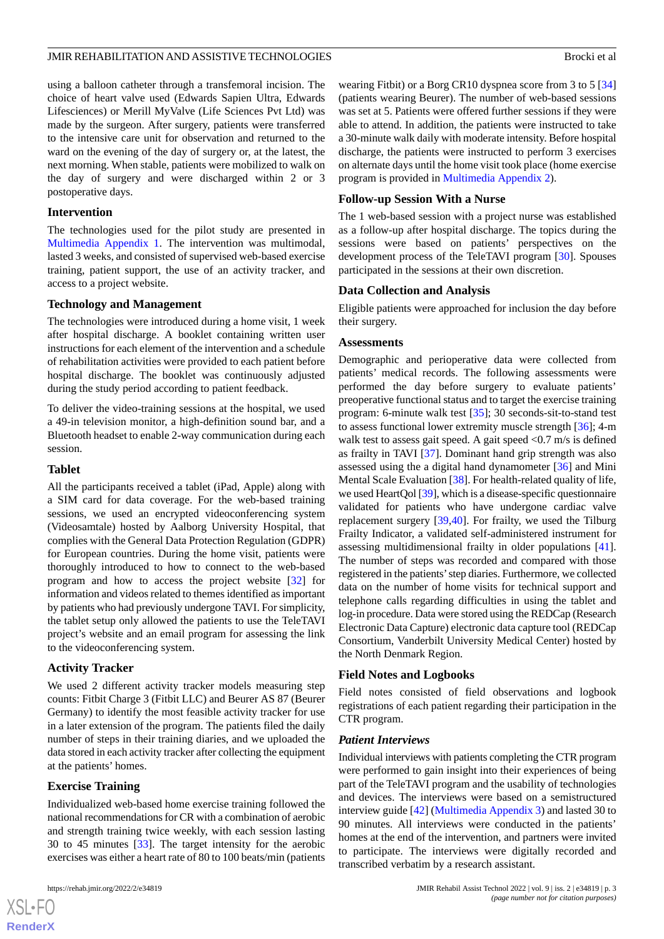using a balloon catheter through a transfemoral incision. The choice of heart valve used (Edwards Sapien Ultra, Edwards Lifesciences) or Merill MyValve (Life Sciences Pvt Ltd) was made by the surgeon. After surgery, patients were transferred to the intensive care unit for observation and returned to the ward on the evening of the day of surgery or, at the latest, the next morning. When stable, patients were mobilized to walk on the day of surgery and were discharged within 2 or 3 postoperative days.

### **Intervention**

The technologies used for the pilot study are presented in [Multimedia Appendix 1.](#page-9-3) The intervention was multimodal, lasted 3 weeks, and consisted of supervised web-based exercise training, patient support, the use of an activity tracker, and access to a project website.

# **Technology and Management**

The technologies were introduced during a home visit, 1 week after hospital discharge. A booklet containing written user instructions for each element of the intervention and a schedule of rehabilitation activities were provided to each patient before hospital discharge. The booklet was continuously adjusted during the study period according to patient feedback.

To deliver the video-training sessions at the hospital, we used a 49-in television monitor, a high-definition sound bar, and a Bluetooth headset to enable 2-way communication during each session.

### **Tablet**

All the participants received a tablet (iPad, Apple) along with a SIM card for data coverage. For the web-based training sessions, we used an encrypted videoconferencing system (Videosamtale) hosted by Aalborg University Hospital, that complies with the General Data Protection Regulation (GDPR) for European countries. During the home visit, patients were thoroughly introduced to how to connect to the web-based program and how to access the project website [[32\]](#page-11-7) for information and videos related to themes identified as important by patients who had previously undergone TAVI. For simplicity, the tablet setup only allowed the patients to use the TeleTAVI project's website and an email program for assessing the link to the videoconferencing system.

# **Activity Tracker**

We used 2 different activity tracker models measuring step counts: Fitbit Charge 3 (Fitbit LLC) and Beurer AS 87 (Beurer Germany) to identify the most feasible activity tracker for use in a later extension of the program. The patients filed the daily number of steps in their training diaries, and we uploaded the data stored in each activity tracker after collecting the equipment at the patients' homes.

# **Exercise Training**

Individualized web-based home exercise training followed the national recommendations for CR with a combination of aerobic and strength training twice weekly, with each session lasting 30 to 45 minutes [\[33](#page-11-8)]. The target intensity for the aerobic exercises was either a heart rate of 80 to 100 beats/min (patients

 $XS$  $\cdot$ FC **[RenderX](http://www.renderx.com/)** wearing Fitbit) or a Borg CR10 dyspnea score from 3 to 5 [\[34](#page-11-9)] (patients wearing Beurer). The number of web-based sessions was set at 5. Patients were offered further sessions if they were able to attend. In addition, the patients were instructed to take a 30-minute walk daily with moderate intensity. Before hospital discharge, the patients were instructed to perform 3 exercises on alternate days until the home visit took place (home exercise program is provided in [Multimedia Appendix 2\)](#page-9-4).

# **Follow-up Session With a Nurse**

The 1 web-based session with a project nurse was established as a follow-up after hospital discharge. The topics during the sessions were based on patients' perspectives on the development process of the TeleTAVI program [[30\]](#page-11-5). Spouses participated in the sessions at their own discretion.

# **Data Collection and Analysis**

Eligible patients were approached for inclusion the day before their surgery.

### **Assessments**

Demographic and perioperative data were collected from patients' medical records. The following assessments were performed the day before surgery to evaluate patients' preoperative functional status and to target the exercise training program: 6-minute walk test [\[35](#page-11-10)]; 30 seconds-sit-to-stand test to assess functional lower extremity muscle strength [\[36](#page-11-11)]; 4-m walk test to assess gait speed. A gait speed  $\langle 0.7 \text{ m/s} \rangle$  is defined as frailty in TAVI [\[37](#page-11-12)]. Dominant hand grip strength was also assessed using the a digital hand dynamometer [[36\]](#page-11-11) and Mini Mental Scale Evaluation [\[38](#page-11-13)]. For health-related quality of life, we used HeartQol [\[39](#page-11-14)], which is a disease-specific questionnaire validated for patients who have undergone cardiac valve replacement surgery [\[39](#page-11-14),[40\]](#page-11-15). For frailty, we used the Tilburg Frailty Indicator, a validated self-administered instrument for assessing multidimensional frailty in older populations [[41\]](#page-11-16). The number of steps was recorded and compared with those registered in the patients'step diaries. Furthermore, we collected data on the number of home visits for technical support and telephone calls regarding difficulties in using the tablet and log-in procedure. Data were stored using the REDCap (Research Electronic Data Capture) electronic data capture tool (REDCap Consortium, Vanderbilt University Medical Center) hosted by the North Denmark Region.

# **Field Notes and Logbooks**

Field notes consisted of field observations and logbook registrations of each patient regarding their participation in the CTR program.

### *Patient Interviews*

Individual interviews with patients completing the CTR program were performed to gain insight into their experiences of being part of the TeleTAVI program and the usability of technologies and devices. The interviews were based on a semistructured interview guide [\[42](#page-11-17)] ([Multimedia Appendix 3](#page-9-5)) and lasted 30 to 90 minutes. All interviews were conducted in the patients' homes at the end of the intervention, and partners were invited to participate. The interviews were digitally recorded and transcribed verbatim by a research assistant.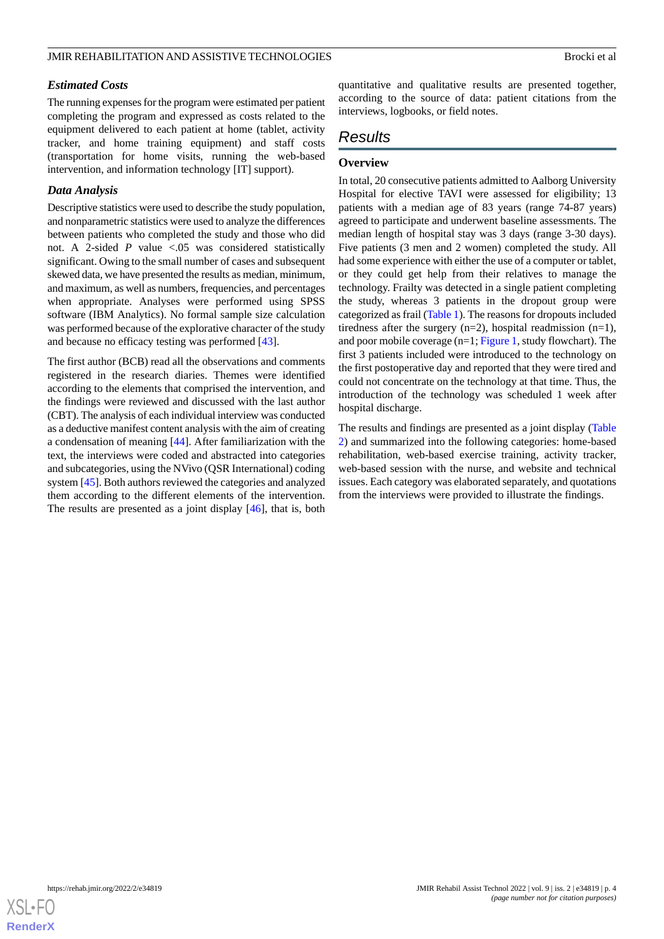### *Estimated Costs*

The running expenses for the program were estimated per patient completing the program and expressed as costs related to the equipment delivered to each patient at home (tablet, activity tracker, and home training equipment) and staff costs (transportation for home visits, running the web-based intervention, and information technology [IT] support).

### *Data Analysis*

Descriptive statistics were used to describe the study population, and nonparametric statistics were used to analyze the differences between patients who completed the study and those who did not. A 2-sided *P* value <.05 was considered statistically significant. Owing to the small number of cases and subsequent skewed data, we have presented the results as median, minimum, and maximum, as well as numbers, frequencies, and percentages when appropriate. Analyses were performed using SPSS software (IBM Analytics). No formal sample size calculation was performed because of the explorative character of the study and because no efficacy testing was performed [[43\]](#page-11-18).

The first author (BCB) read all the observations and comments registered in the research diaries. Themes were identified according to the elements that comprised the intervention, and the findings were reviewed and discussed with the last author (CBT). The analysis of each individual interview was conducted as a deductive manifest content analysis with the aim of creating a condensation of meaning [[44\]](#page-11-19). After familiarization with the text, the interviews were coded and abstracted into categories and subcategories, using the NVivo (QSR International) coding system [\[45](#page-11-20)]. Both authors reviewed the categories and analyzed them according to the different elements of the intervention. The results are presented as a joint display [\[46](#page-11-21)], that is, both

quantitative and qualitative results are presented together, according to the source of data: patient citations from the interviews, logbooks, or field notes.

# *Results*

# **Overview**

In total, 20 consecutive patients admitted to Aalborg University Hospital for elective TAVI were assessed for eligibility; 13 patients with a median age of 83 years (range 74-87 years) agreed to participate and underwent baseline assessments. The median length of hospital stay was 3 days (range 3-30 days). Five patients (3 men and 2 women) completed the study. All had some experience with either the use of a computer or tablet, or they could get help from their relatives to manage the technology. Frailty was detected in a single patient completing the study, whereas 3 patients in the dropout group were categorized as frail [\(Table 1\)](#page-4-0). The reasons for dropouts included tiredness after the surgery  $(n=2)$ , hospital readmission  $(n=1)$ , and poor mobile coverage (n=1; [Figure 1,](#page-5-0) study flowchart). The first 3 patients included were introduced to the technology on the first postoperative day and reported that they were tired and could not concentrate on the technology at that time. Thus, the introduction of the technology was scheduled 1 week after hospital discharge.

The results and findings are presented as a joint display ([Table](#page-6-0) [2\)](#page-6-0) and summarized into the following categories: home-based rehabilitation, web-based exercise training, activity tracker, web-based session with the nurse, and website and technical issues. Each category was elaborated separately, and quotations from the interviews were provided to illustrate the findings.

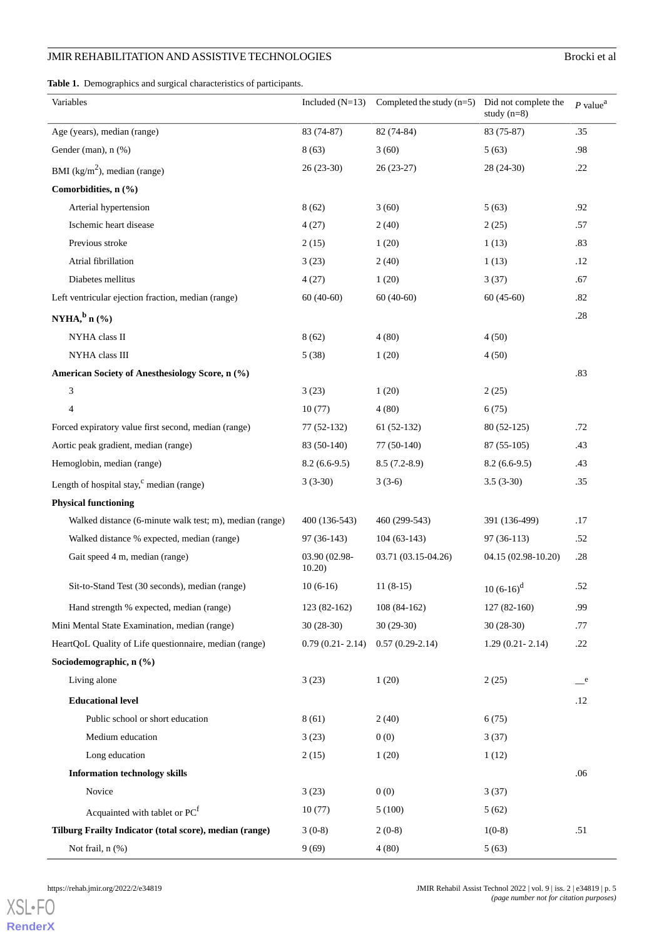<span id="page-4-0"></span>**Table 1.** Demographics and surgical characteristics of participants.

| Variables                                               | Included $(N=13)$       | Completed the study $(n=5)$ | Did not complete the<br>study $(n=8)$ | $P$ value <sup>a</sup> |
|---------------------------------------------------------|-------------------------|-----------------------------|---------------------------------------|------------------------|
| Age (years), median (range)                             | 83 (74-87)              | 82 (74-84)                  | 83 (75-87)                            | .35                    |
| Gender (man), n (%)                                     | 8(63)                   | 3(60)                       | 5(63)                                 | .98                    |
| BMI ( $\text{kg/m}^2$ ), median (range)                 | $26(23-30)$             | $26(23-27)$                 | 28 (24-30)                            | .22                    |
| Comorbidities, n (%)                                    |                         |                             |                                       |                        |
| Arterial hypertension                                   | 8(62)                   | 3(60)                       | 5(63)                                 | .92                    |
| Ischemic heart disease                                  | 4(27)                   | 2(40)                       | 2(25)                                 | .57                    |
| Previous stroke                                         | 2(15)                   | 1(20)                       | 1(13)                                 | .83                    |
| Atrial fibrillation                                     | 3(23)                   | 2(40)                       | 1(13)                                 | .12                    |
| Diabetes mellitus                                       | 4(27)                   | 1(20)                       | 3(37)                                 | .67                    |
| Left ventricular ejection fraction, median (range)      | $60(40-60)$             | $60(40-60)$                 | $60(45-60)$                           | .82                    |
| NYHA, $\frac{b}{n}$ n $(\frac{a}{b})$                   |                         |                             |                                       | .28                    |
| NYHA class II                                           | 8(62)                   | 4(80)                       | 4(50)                                 |                        |
| NYHA class III                                          | 5(38)                   | 1(20)                       | 4(50)                                 |                        |
| American Society of Anesthesiology Score, n (%)         |                         |                             |                                       | .83                    |
| 3                                                       | 3(23)                   | 1(20)                       | 2(25)                                 |                        |
| 4                                                       | 10(77)                  | 4(80)                       | 6(75)                                 |                        |
| Forced expiratory value first second, median (range)    | 77 (52-132)             | $61(52-132)$                | 80 (52-125)                           | .72                    |
| Aortic peak gradient, median (range)                    | 83 (50-140)             | 77 (50-140)                 | $87(55-105)$                          | .43                    |
| Hemoglobin, median (range)                              | $8.2(6.6-9.5)$          | $8.5(7.2-8.9)$              | $8.2(6.6-9.5)$                        | .43                    |
| Length of hospital stay, <sup>c</sup> median (range)    | $3(3-30)$               | $3(3-6)$                    | $3.5(3-30)$                           | .35                    |
| <b>Physical functioning</b>                             |                         |                             |                                       |                        |
| Walked distance (6-minute walk test; m), median (range) | 400 (136-543)           | 460 (299-543)               | 391 (136-499)                         | .17                    |
| Walked distance % expected, median (range)              | $97(36-143)$            | $104(63-143)$               | $97(36-113)$                          | .52                    |
| Gait speed 4 m, median (range)                          | 03.90 (02.98-<br>10.20) | 03.71 (03.15-04.26)         | 04.15 (02.98-10.20)                   | .28                    |
| Sit-to-Stand Test (30 seconds), median (range)          | $10(6-16)$              | $11(8-15)$                  | $10(6-16)^d$                          | .52                    |
| Hand strength % expected, median (range)                | $123(82-162)$           | $108(84-162)$               | $127(82-160)$                         | .99                    |
| Mini Mental State Examination, median (range)           | $30(28-30)$             | $30(29-30)$                 | $30(28-30)$                           | .77                    |
| HeartQoL Quality of Life questionnaire, median (range)  | $0.79(0.21 - 2.14)$     | $0.57(0.29-2.14)$           | $1.29(0.21 - 2.14)$                   | .22                    |
| Sociodemographic, n (%)                                 |                         |                             |                                       |                        |
| Living alone                                            | 3(23)                   | 1(20)                       | 2(25)                                 | e                      |
| <b>Educational level</b>                                |                         |                             |                                       | .12                    |
| Public school or short education                        | 8(61)                   | 2(40)                       | 6(75)                                 |                        |
| Medium education                                        | 3(23)                   | 0(0)                        | 3(37)                                 |                        |
| Long education                                          | 2(15)                   | 1(20)                       | 1(12)                                 |                        |
| <b>Information technology skills</b>                    |                         |                             |                                       | .06                    |
| Novice                                                  | 3(23)                   | 0(0)                        | 3(37)                                 |                        |
| Acquainted with tablet or PC <sup>f</sup>               | 10(77)                  | 5(100)                      | 5(62)                                 |                        |
| Tilburg Frailty Indicator (total score), median (range) | $3(0-8)$                | $2(0-8)$                    | $1(0-8)$                              | .51                    |
| Not frail, n (%)                                        | 9(69)                   | 4(80)                       | 5(63)                                 |                        |

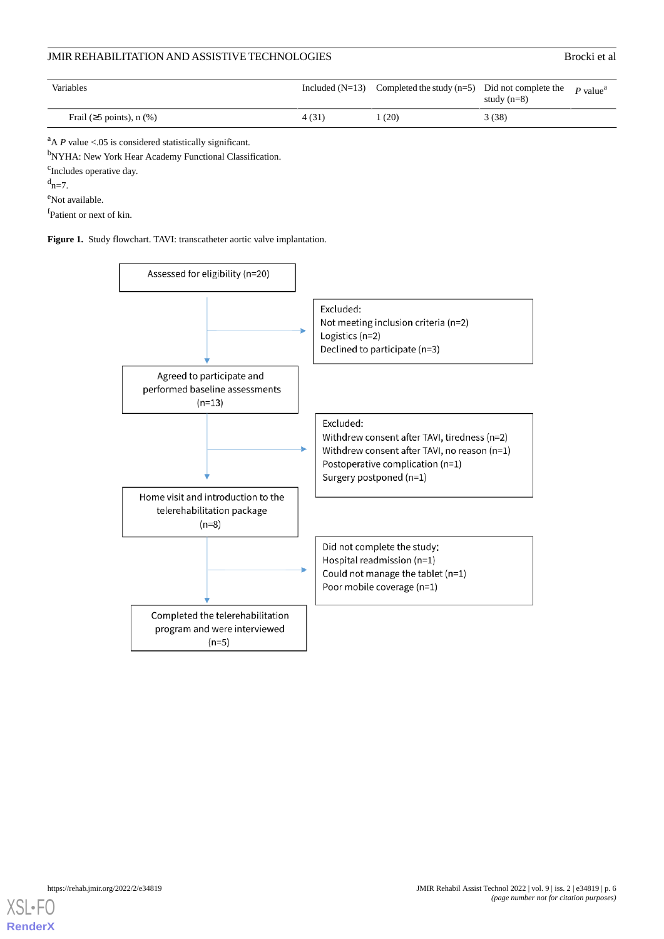| <b>Variables</b>                |       | Included ( $N=13$ ) Completed the study ( $n=5$ ) Did not complete the | study $(n=8)$ | $P$ value <sup>a</sup> |
|---------------------------------|-------|------------------------------------------------------------------------|---------------|------------------------|
| Frail ( $\geq$ 5 points), n (%) | 4(31) | (20)                                                                   | 3(38)         |                        |

 $A$  *P* value <.05 is considered statistically significant.

b<sub>NYHA</sub>: New York Hear Academy Functional Classification.

<sup>c</sup>Includes operative day.

 $d_{n=7}$ .

<sup>e</sup>Not available.

<span id="page-5-0"></span>f<sub>Patient or next of kin.</sub>

**Figure 1.** Study flowchart. TAVI: transcatheter aortic valve implantation.



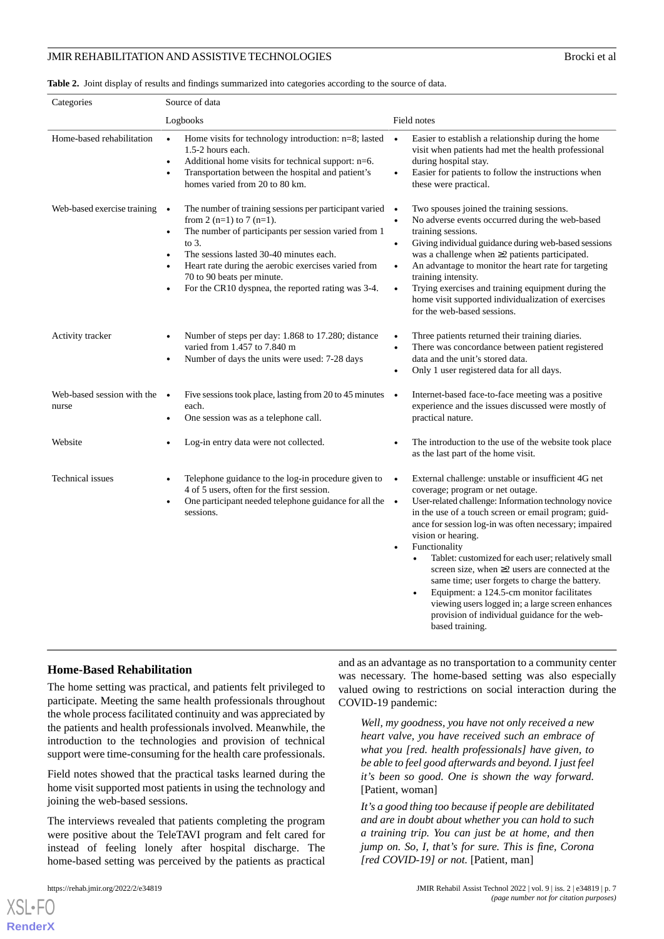<span id="page-6-0"></span>**Table 2.** Joint display of results and findings summarized into categories according to the source of data.

| Categories                          | Source of data                                                                                                                                                                                                                                                                                                                                                                   |                                                                                                                                                                                                                                                                                                                                                                                                                                                                                                                                                                                                                                                                                                  |  |
|-------------------------------------|----------------------------------------------------------------------------------------------------------------------------------------------------------------------------------------------------------------------------------------------------------------------------------------------------------------------------------------------------------------------------------|--------------------------------------------------------------------------------------------------------------------------------------------------------------------------------------------------------------------------------------------------------------------------------------------------------------------------------------------------------------------------------------------------------------------------------------------------------------------------------------------------------------------------------------------------------------------------------------------------------------------------------------------------------------------------------------------------|--|
|                                     | Logbooks                                                                                                                                                                                                                                                                                                                                                                         | Field notes                                                                                                                                                                                                                                                                                                                                                                                                                                                                                                                                                                                                                                                                                      |  |
| Home-based rehabilitation           | Home visits for technology introduction: $n=8$ ; lasted $\bullet$<br>$\bullet$<br>1.5-2 hours each.<br>Additional home visits for technical support: n=6.<br>$\bullet$<br>Transportation between the hospital and patient's<br>$\bullet$<br>homes varied from 20 to 80 km.                                                                                                       | Easier to establish a relationship during the home<br>visit when patients had met the health professional<br>during hospital stay.<br>Easier for patients to follow the instructions when<br>$\bullet$<br>these were practical.                                                                                                                                                                                                                                                                                                                                                                                                                                                                  |  |
| Web-based exercise training         | The number of training sessions per participant varied $\bullet$<br>$\bullet$<br>from 2 (n=1) to 7 (n=1).<br>The number of participants per session varied from 1<br>$\bullet$<br>to $3$ .<br>The sessions lasted 30-40 minutes each.<br>Heart rate during the aerobic exercises varied from<br>70 to 90 beats per minute.<br>For the CR10 dyspnea, the reported rating was 3-4. | Two spouses joined the training sessions.<br>No adverse events occurred during the web-based<br>$\bullet$<br>training sessions.<br>Giving individual guidance during web-based sessions<br>$\bullet$<br>was a challenge when $\geq$ 2 patients participated.<br>An advantage to monitor the heart rate for targeting<br>$\bullet$<br>training intensity.<br>Trying exercises and training equipment during the<br>$\bullet$<br>home visit supported individualization of exercises<br>for the web-based sessions.                                                                                                                                                                                |  |
| Activity tracker                    | Number of steps per day: 1.868 to 17.280; distance<br>varied from 1.457 to 7.840 m<br>Number of days the units were used: 7-28 days<br>٠                                                                                                                                                                                                                                         | Three patients returned their training diaries.<br>There was concordance between patient registered<br>data and the unit's stored data.<br>Only 1 user registered data for all days.<br>$\bullet$                                                                                                                                                                                                                                                                                                                                                                                                                                                                                                |  |
| Web-based session with the<br>nurse | Five sessions took place, lasting from 20 to 45 minutes<br>$\bullet$<br>each.<br>One session was as a telephone call.                                                                                                                                                                                                                                                            | Internet-based face-to-face meeting was a positive<br>$\bullet$<br>experience and the issues discussed were mostly of<br>practical nature.                                                                                                                                                                                                                                                                                                                                                                                                                                                                                                                                                       |  |
| Website                             | Log-in entry data were not collected.                                                                                                                                                                                                                                                                                                                                            | The introduction to the use of the website took place<br>as the last part of the home visit.                                                                                                                                                                                                                                                                                                                                                                                                                                                                                                                                                                                                     |  |
| Technical issues                    | Telephone guidance to the log-in procedure given to<br>4 of 5 users, often for the first session.<br>One participant needed telephone guidance for all the •<br>$\bullet$<br>sessions.                                                                                                                                                                                           | External challenge: unstable or insufficient 4G net<br>$\bullet$<br>coverage; program or net outage.<br>User-related challenge: Information technology novice<br>in the use of a touch screen or email program; guid-<br>ance for session log-in was often necessary; impaired<br>vision or hearing.<br>Functionality<br>$\bullet$<br>Tablet: customized for each user; relatively small<br>$\bullet$<br>screen size, when $\geq$ users are connected at the<br>same time; user forgets to charge the battery.<br>Equipment: a 124.5-cm monitor facilitates<br>$\bullet$<br>viewing users logged in; a large screen enhances<br>provision of individual guidance for the web-<br>based training. |  |

### **Home-Based Rehabilitation**

The home setting was practical, and patients felt privileged to participate. Meeting the same health professionals throughout the whole process facilitated continuity and was appreciated by the patients and health professionals involved. Meanwhile, the introduction to the technologies and provision of technical support were time-consuming for the health care professionals.

Field notes showed that the practical tasks learned during the home visit supported most patients in using the technology and joining the web-based sessions.

The interviews revealed that patients completing the program were positive about the TeleTAVI program and felt cared for instead of feeling lonely after hospital discharge. The home-based setting was perceived by the patients as practical

[XSL](http://www.w3.org/Style/XSL)•FO **[RenderX](http://www.renderx.com/)**

and as an advantage as no transportation to a community center was necessary. The home-based setting was also especially valued owing to restrictions on social interaction during the COVID-19 pandemic:

*Well, my goodness, you have not only received a new heart valve, you have received such an embrace of what you [red. health professionals] have given, to be able to feel good afterwards and beyond. I just feel it's been so good. One is shown the way forward.* [Patient, woman]

*It's a good thing too because if people are debilitated and are in doubt about whether you can hold to such a training trip. You can just be at home, and then jump on. So, I, that's for sure. This is fine, Corona [red COVID-19] or not.* [Patient, man]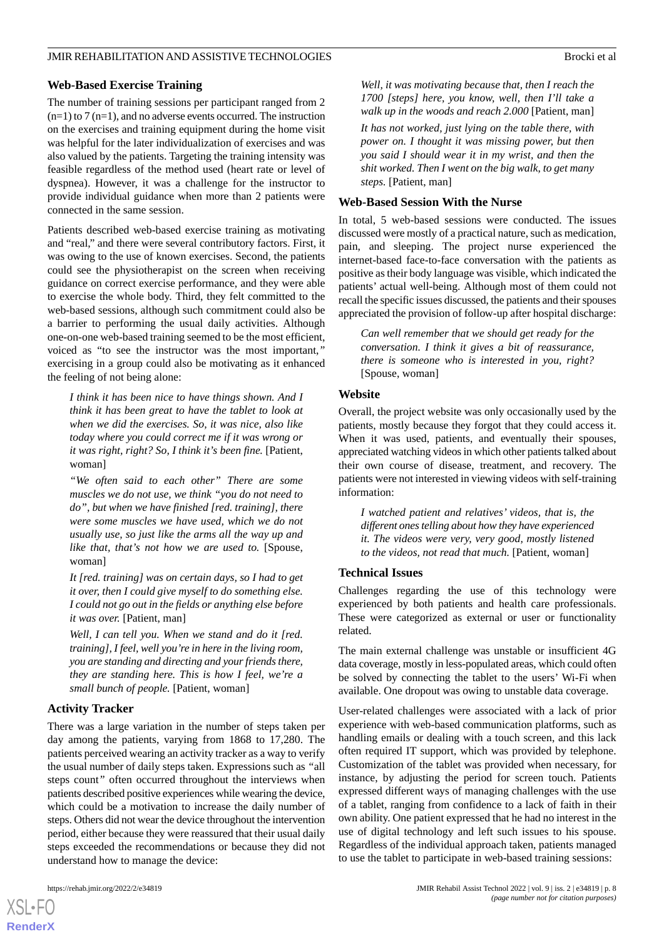### **Web-Based Exercise Training**

The number of training sessions per participant ranged from 2  $(n=1)$  to 7  $(n=1)$ , and no adverse events occurred. The instruction on the exercises and training equipment during the home visit was helpful for the later individualization of exercises and was also valued by the patients. Targeting the training intensity was feasible regardless of the method used (heart rate or level of dyspnea). However, it was a challenge for the instructor to provide individual guidance when more than 2 patients were connected in the same session.

Patients described web-based exercise training as motivating and "real," and there were several contributory factors. First, it was owing to the use of known exercises. Second, the patients could see the physiotherapist on the screen when receiving guidance on correct exercise performance, and they were able to exercise the whole body. Third, they felt committed to the web-based sessions, although such commitment could also be a barrier to performing the usual daily activities. Although one-on-one web-based training seemed to be the most efficient, voiced as "to see the instructor was the most important,*"* exercising in a group could also be motivating as it enhanced the feeling of not being alone:

*I think it has been nice to have things shown. And I think it has been great to have the tablet to look at when we did the exercises. So, it was nice, also like today where you could correct me if it was wrong or it was right, right? So, I think it's been fine.* [Patient, woman]

*"We often said to each other" There are some muscles we do not use, we think "you do not need to do", but when we have finished [red. training], there were some muscles we have used, which we do not usually use, so just like the arms all the way up and like that, that's not how we are used to.* [Spouse, woman]

*It [red. training] was on certain days, so I had to get it over, then I could give myself to do something else. I could not go out in the fields or anything else before it was over.* [Patient, man]

*Well, I can tell you. When we stand and do it [red. training], I feel, well you're in here in the living room, you are standing and directing and your friends there, they are standing here. This is how I feel, we're a small bunch of people.* [Patient, woman]

### **Activity Tracker**

There was a large variation in the number of steps taken per day among the patients, varying from 1868 to 17,280. The patients perceived wearing an activity tracker as a way to verify the usual number of daily steps taken. Expressions such as *"*all steps count*"* often occurred throughout the interviews when patients described positive experiences while wearing the device, which could be a motivation to increase the daily number of steps. Others did not wear the device throughout the intervention period, either because they were reassured that their usual daily steps exceeded the recommendations or because they did not understand how to manage the device:

*Well, it was motivating because that, then I reach the 1700 [steps] here, you know, well, then I'll take a walk up in the woods and reach 2.000* [Patient, man]

*It has not worked, just lying on the table there, with power on. I thought it was missing power, but then you said I should wear it in my wrist, and then the shit worked. Then I went on the big walk, to get many steps.* [Patient, man]

### **Web-Based Session With the Nurse**

In total, 5 web-based sessions were conducted. The issues discussed were mostly of a practical nature, such as medication, pain, and sleeping. The project nurse experienced the internet-based face-to-face conversation with the patients as positive as their body language was visible, which indicated the patients' actual well-being. Although most of them could not recall the specific issues discussed, the patients and their spouses appreciated the provision of follow-up after hospital discharge:

*Can well remember that we should get ready for the conversation. I think it gives a bit of reassurance, there is someone who is interested in you, right?* [Spouse, woman]

### **Website**

Overall, the project website was only occasionally used by the patients, mostly because they forgot that they could access it. When it was used, patients, and eventually their spouses, appreciated watching videos in which other patients talked about their own course of disease, treatment, and recovery. The patients were not interested in viewing videos with self-training information:

*I watched patient and relatives' videos, that is, the different ones telling about how they have experienced it. The videos were very, very good, mostly listened to the videos, not read that much.* [Patient, woman]

### **Technical Issues**

Challenges regarding the use of this technology were experienced by both patients and health care professionals. These were categorized as external or user or functionality related.

The main external challenge was unstable or insufficient 4G data coverage, mostly in less-populated areas, which could often be solved by connecting the tablet to the users' Wi-Fi when available. One dropout was owing to unstable data coverage.

User-related challenges were associated with a lack of prior experience with web-based communication platforms, such as handling emails or dealing with a touch screen, and this lack often required IT support, which was provided by telephone. Customization of the tablet was provided when necessary, for instance, by adjusting the period for screen touch. Patients expressed different ways of managing challenges with the use of a tablet, ranging from confidence to a lack of faith in their own ability. One patient expressed that he had no interest in the use of digital technology and left such issues to his spouse. Regardless of the individual approach taken, patients managed to use the tablet to participate in web-based training sessions:

```
XSL•FO
RenderX
```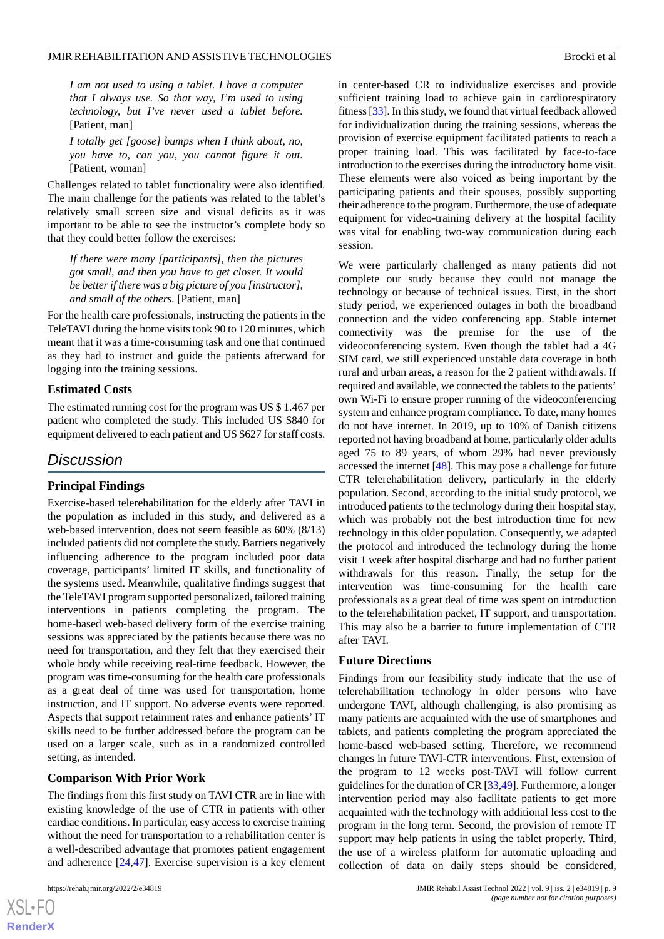*I am not used to using a tablet. I have a computer that I always use. So that way, I'm used to using technology, but I've never used a tablet before.* [Patient, man]

*I totally get [goose] bumps when I think about, no, you have to, can you, you cannot figure it out.* [Patient, woman]

Challenges related to tablet functionality were also identified. The main challenge for the patients was related to the tablet's relatively small screen size and visual deficits as it was important to be able to see the instructor's complete body so that they could better follow the exercises:

*If there were many [participants], then the pictures got small, and then you have to get closer. It would be better if there was a big picture of you [instructor], and small of the others.* [Patient, man]

For the health care professionals, instructing the patients in the TeleTAVI during the home visits took 90 to 120 minutes, which meant that it was a time-consuming task and one that continued as they had to instruct and guide the patients afterward for logging into the training sessions.

### **Estimated Costs**

The estimated running cost for the program was US \$ 1.467 per patient who completed the study. This included US \$840 for equipment delivered to each patient and US \$627 for staff costs.

# *Discussion*

# **Principal Findings**

Exercise-based telerehabilitation for the elderly after TAVI in the population as included in this study, and delivered as a web-based intervention, does not seem feasible as 60% (8/13) included patients did not complete the study. Barriers negatively influencing adherence to the program included poor data coverage, participants' limited IT skills, and functionality of the systems used. Meanwhile, qualitative findings suggest that the TeleTAVI program supported personalized, tailored training interventions in patients completing the program. The home-based web-based delivery form of the exercise training sessions was appreciated by the patients because there was no need for transportation, and they felt that they exercised their whole body while receiving real-time feedback. However, the program was time-consuming for the health care professionals as a great deal of time was used for transportation, home instruction, and IT support. No adverse events were reported. Aspects that support retainment rates and enhance patients' IT skills need to be further addressed before the program can be used on a larger scale, such as in a randomized controlled setting, as intended.

### **Comparison With Prior Work**

The findings from this first study on TAVI CTR are in line with existing knowledge of the use of CTR in patients with other cardiac conditions. In particular, easy access to exercise training without the need for transportation to a rehabilitation center is a well-described advantage that promotes patient engagement and adherence [\[24](#page-11-0),[47\]](#page-12-0). Exercise supervision is a key element

in center-based CR to individualize exercises and provide sufficient training load to achieve gain in cardiorespiratory fitness [\[33\]](#page-11-8). In this study, we found that virtual feedback allowed for individualization during the training sessions, whereas the provision of exercise equipment facilitated patients to reach a proper training load. This was facilitated by face-to-face introduction to the exercises during the introductory home visit. These elements were also voiced as being important by the participating patients and their spouses, possibly supporting their adherence to the program. Furthermore, the use of adequate equipment for video-training delivery at the hospital facility was vital for enabling two-way communication during each session.

We were particularly challenged as many patients did not complete our study because they could not manage the technology or because of technical issues. First, in the short study period, we experienced outages in both the broadband connection and the video conferencing app. Stable internet connectivity was the premise for the use of the videoconferencing system. Even though the tablet had a 4G SIM card, we still experienced unstable data coverage in both rural and urban areas, a reason for the 2 patient withdrawals. If required and available, we connected the tablets to the patients' own Wi-Fi to ensure proper running of the videoconferencing system and enhance program compliance. To date, many homes do not have internet. In 2019, up to 10% of Danish citizens reported not having broadband at home, particularly older adults aged 75 to 89 years, of whom 29% had never previously accessed the internet [[48\]](#page-12-1). This may pose a challenge for future CTR telerehabilitation delivery, particularly in the elderly population. Second, according to the initial study protocol, we introduced patients to the technology during their hospital stay, which was probably not the best introduction time for new technology in this older population. Consequently, we adapted the protocol and introduced the technology during the home visit 1 week after hospital discharge and had no further patient withdrawals for this reason. Finally, the setup for the intervention was time-consuming for the health care professionals as a great deal of time was spent on introduction to the telerehabilitation packet, IT support, and transportation. This may also be a barrier to future implementation of CTR after TAVI.

### **Future Directions**

Findings from our feasibility study indicate that the use of telerehabilitation technology in older persons who have undergone TAVI, although challenging, is also promising as many patients are acquainted with the use of smartphones and tablets, and patients completing the program appreciated the home-based web-based setting. Therefore, we recommend changes in future TAVI-CTR interventions. First, extension of the program to 12 weeks post-TAVI will follow current guidelines for the duration of CR [\[33](#page-11-8),[49\]](#page-12-2). Furthermore, a longer intervention period may also facilitate patients to get more acquainted with the technology with additional less cost to the program in the long term. Second, the provision of remote IT support may help patients in using the tablet properly. Third, the use of a wireless platform for automatic uploading and collection of data on daily steps should be considered,

```
XS\cdotFC
RenderX
```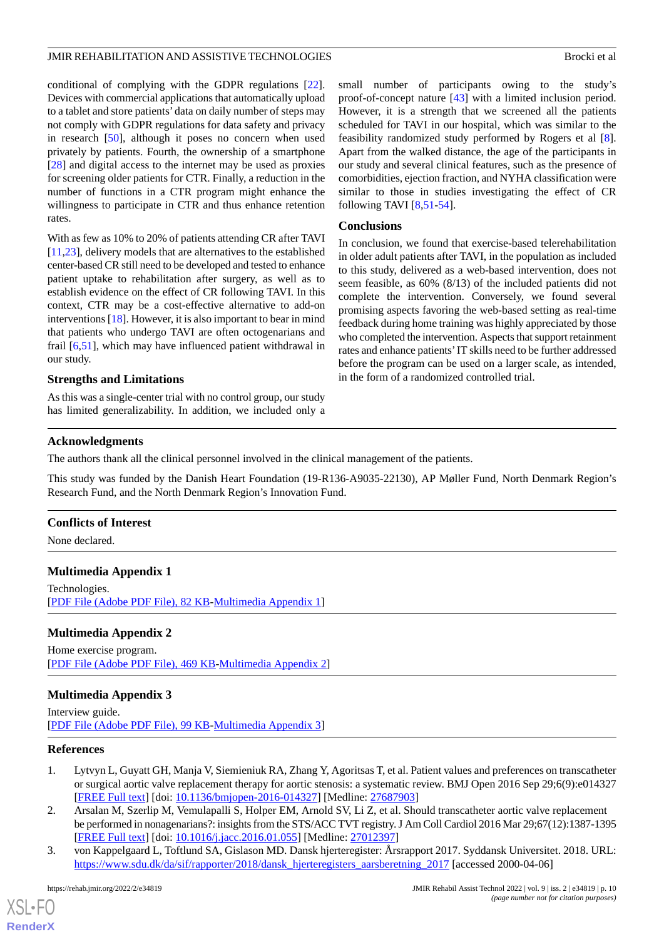conditional of complying with the GDPR regulations [[22\]](#page-10-16). Devices with commercial applications that automatically upload to a tablet and store patients' data on daily number of steps may not comply with GDPR regulations for data safety and privacy in research [[50\]](#page-12-3), although it poses no concern when used privately by patients. Fourth, the ownership of a smartphone [[28\]](#page-11-3) and digital access to the internet may be used as proxies for screening older patients for CTR. Finally, a reduction in the number of functions in a CTR program might enhance the willingness to participate in CTR and thus enhance retention rates.

With as few as 10% to 20% of patients attending CR after TAVI [[11](#page-10-5)[,23](#page-10-17)], delivery models that are alternatives to the established center-based CR still need to be developed and tested to enhance patient uptake to rehabilitation after surgery, as well as to establish evidence on the effect of CR following TAVI. In this context, CTR may be a cost-effective alternative to add-on interventions [[18\]](#page-10-12). However, it is also important to bear in mind that patients who undergo TAVI are often octogenarians and frail [[6](#page-10-2),[51\]](#page-12-4), which may have influenced patient withdrawal in our study.

# **Strengths and Limitations**

As this was a single-center trial with no control group, our study has limited generalizability. In addition, we included only a small number of participants owing to the study's proof-of-concept nature [[43\]](#page-11-18) with a limited inclusion period. However, it is a strength that we screened all the patients scheduled for TAVI in our hospital, which was similar to the feasibility randomized study performed by Rogers et al [[8\]](#page-10-18). Apart from the walked distance, the age of the participants in our study and several clinical features, such as the presence of comorbidities, ejection fraction, and NYHA classification were similar to those in studies investigating the effect of CR following TAVI [\[8](#page-10-18),[51-](#page-12-4)[54](#page-12-5)].

### **Conclusions**

In conclusion, we found that exercise-based telerehabilitation in older adult patients after TAVI, in the population as included to this study, delivered as a web-based intervention, does not seem feasible, as 60% (8/13) of the included patients did not complete the intervention. Conversely, we found several promising aspects favoring the web-based setting as real-time feedback during home training was highly appreciated by those who completed the intervention. Aspects that support retainment rates and enhance patients'IT skills need to be further addressed before the program can be used on a larger scale, as intended, in the form of a randomized controlled trial.

# **Acknowledgments**

The authors thank all the clinical personnel involved in the clinical management of the patients.

This study was funded by the Danish Heart Foundation (19-R136-A9035-22130), AP Møller Fund, North Denmark Region's Research Fund, and the North Denmark Region's Innovation Fund.

### <span id="page-9-3"></span>**Conflicts of Interest**

None declared.

# <span id="page-9-4"></span>**Multimedia Appendix 1**

Technologies. [[PDF File \(Adobe PDF File\), 82 KB](https://jmir.org/api/download?alt_name=rehab_v9i2e34819_app1.pdf&filename=343968daefe9e32f658902cb968437a1.pdf)-[Multimedia Appendix 1\]](https://jmir.org/api/download?alt_name=rehab_v9i2e34819_app1.pdf&filename=343968daefe9e32f658902cb968437a1.pdf)

# <span id="page-9-5"></span>**Multimedia Appendix 2**

Home exercise program. [[PDF File \(Adobe PDF File\), 469 KB](https://jmir.org/api/download?alt_name=rehab_v9i2e34819_app2.pdf&filename=ef19accf2d255060eefe8c7dbb02b232.pdf)-[Multimedia Appendix 2\]](https://jmir.org/api/download?alt_name=rehab_v9i2e34819_app2.pdf&filename=ef19accf2d255060eefe8c7dbb02b232.pdf)

# <span id="page-9-0"></span>**Multimedia Appendix 3**

<span id="page-9-1"></span>Interview guide. [[PDF File \(Adobe PDF File\), 99 KB](https://jmir.org/api/download?alt_name=rehab_v9i2e34819_app3.pdf&filename=3864bcccb3c2cd94368cb722a425763d.pdf)-[Multimedia Appendix 3\]](https://jmir.org/api/download?alt_name=rehab_v9i2e34819_app3.pdf&filename=3864bcccb3c2cd94368cb722a425763d.pdf)

# **References**

- <span id="page-9-2"></span>1. Lytvyn L, Guyatt GH, Manja V, Siemieniuk RA, Zhang Y, Agoritsas T, et al. Patient values and preferences on transcatheter or surgical aortic valve replacement therapy for aortic stenosis: a systematic review. BMJ Open 2016 Sep 29;6(9):e014327 [[FREE Full text](https://bmjopen.bmj.com/lookup/pmidlookup?view=long&pmid=27687903)] [doi: [10.1136/bmjopen-2016-014327](http://dx.doi.org/10.1136/bmjopen-2016-014327)] [Medline: [27687903](http://www.ncbi.nlm.nih.gov/entrez/query.fcgi?cmd=Retrieve&db=PubMed&list_uids=27687903&dopt=Abstract)]
- 2. Arsalan M, Szerlip M, Vemulapalli S, Holper EM, Arnold SV, Li Z, et al. Should transcatheter aortic valve replacement be performed in nonagenarians?: insights from the STS/ACC TVT registry. J Am Coll Cardiol 2016 Mar 29;67(12):1387-1395 [[FREE Full text](https://linkinghub.elsevier.com/retrieve/pii/S0735-1097(16)00601-X)] [doi: [10.1016/j.jacc.2016.01.055\]](http://dx.doi.org/10.1016/j.jacc.2016.01.055) [Medline: [27012397](http://www.ncbi.nlm.nih.gov/entrez/query.fcgi?cmd=Retrieve&db=PubMed&list_uids=27012397&dopt=Abstract)]
- 3. von Kappelgaard L, Toftlund SA, Gislason MD. Dansk hjerteregister: Årsrapport 2017. Syddansk Universitet. 2018. URL: [https://www.sdu.dk/da/sif/rapporter/2018/dansk\\_hjerteregisters\\_aarsberetning\\_2017](https://www.sdu.dk/da/sif/rapporter/2018/dansk_hjerteregisters_aarsberetning_2017) [accessed 2000-04-06]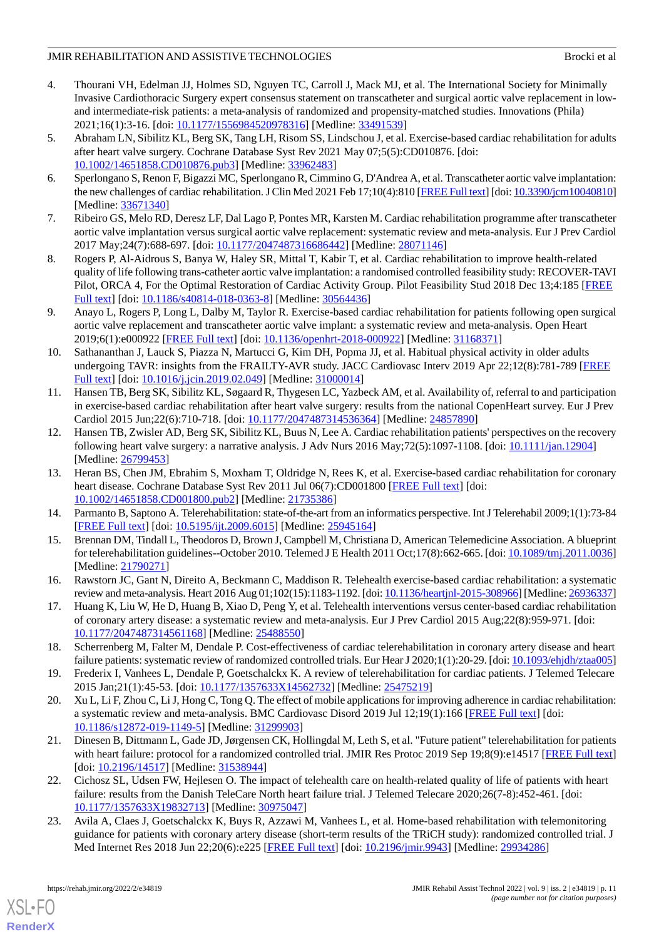- <span id="page-10-0"></span>4. Thourani VH, Edelman JJ, Holmes SD, Nguyen TC, Carroll J, Mack MJ, et al. The International Society for Minimally Invasive Cardiothoracic Surgery expert consensus statement on transcatheter and surgical aortic valve replacement in lowand intermediate-risk patients: a meta-analysis of randomized and propensity-matched studies. Innovations (Phila) 2021;16(1):3-16. [doi: [10.1177/1556984520978316\]](http://dx.doi.org/10.1177/1556984520978316) [Medline: [33491539\]](http://www.ncbi.nlm.nih.gov/entrez/query.fcgi?cmd=Retrieve&db=PubMed&list_uids=33491539&dopt=Abstract)
- <span id="page-10-1"></span>5. Abraham LN, Sibilitz KL, Berg SK, Tang LH, Risom SS, Lindschou J, et al. Exercise-based cardiac rehabilitation for adults after heart valve surgery. Cochrane Database Syst Rev 2021 May 07;5(5):CD010876. [doi: [10.1002/14651858.CD010876.pub3\]](http://dx.doi.org/10.1002/14651858.CD010876.pub3) [Medline: [33962483](http://www.ncbi.nlm.nih.gov/entrez/query.fcgi?cmd=Retrieve&db=PubMed&list_uids=33962483&dopt=Abstract)]
- <span id="page-10-2"></span>6. Sperlongano S, Renon F, Bigazzi MC, Sperlongano R, Cimmino G, D'Andrea A, et al. Transcatheter aortic valve implantation: the new challenges of cardiac rehabilitation. J Clin Med 2021 Feb 17;10(4):810 [\[FREE Full text](https://www.mdpi.com/resolver?pii=jcm10040810)] [doi: [10.3390/jcm10040810\]](http://dx.doi.org/10.3390/jcm10040810) [Medline: [33671340](http://www.ncbi.nlm.nih.gov/entrez/query.fcgi?cmd=Retrieve&db=PubMed&list_uids=33671340&dopt=Abstract)]
- <span id="page-10-18"></span>7. Ribeiro GS, Melo RD, Deresz LF, Dal Lago P, Pontes MR, Karsten M. Cardiac rehabilitation programme after transcatheter aortic valve implantation versus surgical aortic valve replacement: systematic review and meta-analysis. Eur J Prev Cardiol 2017 May;24(7):688-697. [doi: [10.1177/2047487316686442\]](http://dx.doi.org/10.1177/2047487316686442) [Medline: [28071146](http://www.ncbi.nlm.nih.gov/entrez/query.fcgi?cmd=Retrieve&db=PubMed&list_uids=28071146&dopt=Abstract)]
- <span id="page-10-3"></span>8. Rogers P, Al-Aidrous S, Banya W, Haley SR, Mittal T, Kabir T, et al. Cardiac rehabilitation to improve health-related quality of life following trans-catheter aortic valve implantation: a randomised controlled feasibility study: RECOVER-TAVI Pilot, ORCA 4, For the Optimal Restoration of Cardiac Activity Group. Pilot Feasibility Stud 2018 Dec 13;4:185 [\[FREE](https://pilotfeasibilitystudies.biomedcentral.com/articles/10.1186/s40814-018-0363-8) [Full text\]](https://pilotfeasibilitystudies.biomedcentral.com/articles/10.1186/s40814-018-0363-8) [doi: [10.1186/s40814-018-0363-8](http://dx.doi.org/10.1186/s40814-018-0363-8)] [Medline: [30564436](http://www.ncbi.nlm.nih.gov/entrez/query.fcgi?cmd=Retrieve&db=PubMed&list_uids=30564436&dopt=Abstract)]
- <span id="page-10-4"></span>9. Anayo L, Rogers P, Long L, Dalby M, Taylor R. Exercise-based cardiac rehabilitation for patients following open surgical aortic valve replacement and transcatheter aortic valve implant: a systematic review and meta-analysis. Open Heart 2019;6(1):e000922 [\[FREE Full text](https://openheart.bmj.com/lookup/pmidlookup?view=long&pmid=31168371)] [doi: [10.1136/openhrt-2018-000922](http://dx.doi.org/10.1136/openhrt-2018-000922)] [Medline: [31168371\]](http://www.ncbi.nlm.nih.gov/entrez/query.fcgi?cmd=Retrieve&db=PubMed&list_uids=31168371&dopt=Abstract)
- <span id="page-10-5"></span>10. Sathananthan J, Lauck S, Piazza N, Martucci G, Kim DH, Popma JJ, et al. Habitual physical activity in older adults undergoing TAVR: insights from the FRAILTY-AVR study. JACC Cardiovasc Interv 2019 Apr 22;12(8):781-789 [\[FREE](https://linkinghub.elsevier.com/retrieve/pii/S1936-8798(19)30630-2) [Full text\]](https://linkinghub.elsevier.com/retrieve/pii/S1936-8798(19)30630-2) [doi: [10.1016/j.jcin.2019.02.049](http://dx.doi.org/10.1016/j.jcin.2019.02.049)] [Medline: [31000014](http://www.ncbi.nlm.nih.gov/entrez/query.fcgi?cmd=Retrieve&db=PubMed&list_uids=31000014&dopt=Abstract)]
- <span id="page-10-6"></span>11. Hansen TB, Berg SK, Sibilitz KL, Søgaard R, Thygesen LC, Yazbeck AM, et al. Availability of, referral to and participation in exercise-based cardiac rehabilitation after heart valve surgery: results from the national CopenHeart survey. Eur J Prev Cardiol 2015 Jun;22(6):710-718. [doi: [10.1177/2047487314536364\]](http://dx.doi.org/10.1177/2047487314536364) [Medline: [24857890](http://www.ncbi.nlm.nih.gov/entrez/query.fcgi?cmd=Retrieve&db=PubMed&list_uids=24857890&dopt=Abstract)]
- <span id="page-10-7"></span>12. Hansen TB, Zwisler AD, Berg SK, Sibilitz KL, Buus N, Lee A. Cardiac rehabilitation patients' perspectives on the recovery following heart valve surgery: a narrative analysis. J Adv Nurs 2016 May;72(5):1097-1108. [doi: [10.1111/jan.12904\]](http://dx.doi.org/10.1111/jan.12904) [Medline: [26799453](http://www.ncbi.nlm.nih.gov/entrez/query.fcgi?cmd=Retrieve&db=PubMed&list_uids=26799453&dopt=Abstract)]
- <span id="page-10-9"></span><span id="page-10-8"></span>13. Heran BS, Chen JM, Ebrahim S, Moxham T, Oldridge N, Rees K, et al. Exercise-based cardiac rehabilitation for coronary heart disease. Cochrane Database Syst Rev 2011 Jul 06(7):CD001800 [[FREE Full text](http://europepmc.org/abstract/MED/21735386)] [doi: [10.1002/14651858.CD001800.pub2\]](http://dx.doi.org/10.1002/14651858.CD001800.pub2) [Medline: [21735386](http://www.ncbi.nlm.nih.gov/entrez/query.fcgi?cmd=Retrieve&db=PubMed&list_uids=21735386&dopt=Abstract)]
- <span id="page-10-10"></span>14. Parmanto B, Saptono A. Telerehabilitation: state-of-the-art from an informatics perspective. Int J Telerehabil 2009;1(1):73-84 [[FREE Full text](http://europepmc.org/abstract/MED/25945164)] [doi: [10.5195/ijt.2009.6015](http://dx.doi.org/10.5195/ijt.2009.6015)] [Medline: [25945164\]](http://www.ncbi.nlm.nih.gov/entrez/query.fcgi?cmd=Retrieve&db=PubMed&list_uids=25945164&dopt=Abstract)
- <span id="page-10-11"></span>15. Brennan DM, Tindall L, Theodoros D, Brown J, Campbell M, Christiana D, American Telemedicine Association. A blueprint for telerehabilitation guidelines--October 2010. Telemed J E Health 2011 Oct;17(8):662-665. [doi: [10.1089/tmj.2011.0036](http://dx.doi.org/10.1089/tmj.2011.0036)] [Medline: [21790271](http://www.ncbi.nlm.nih.gov/entrez/query.fcgi?cmd=Retrieve&db=PubMed&list_uids=21790271&dopt=Abstract)]
- <span id="page-10-12"></span>16. Rawstorn JC, Gant N, Direito A, Beckmann C, Maddison R. Telehealth exercise-based cardiac rehabilitation: a systematic review and meta-analysis. Heart 2016 Aug 01;102(15):1183-1192. [doi: [10.1136/heartjnl-2015-308966\]](http://dx.doi.org/10.1136/heartjnl-2015-308966) [Medline: [26936337](http://www.ncbi.nlm.nih.gov/entrez/query.fcgi?cmd=Retrieve&db=PubMed&list_uids=26936337&dopt=Abstract)]
- <span id="page-10-13"></span>17. Huang K, Liu W, He D, Huang B, Xiao D, Peng Y, et al. Telehealth interventions versus center-based cardiac rehabilitation of coronary artery disease: a systematic review and meta-analysis. Eur J Prev Cardiol 2015 Aug;22(8):959-971. [doi: [10.1177/2047487314561168\]](http://dx.doi.org/10.1177/2047487314561168) [Medline: [25488550\]](http://www.ncbi.nlm.nih.gov/entrez/query.fcgi?cmd=Retrieve&db=PubMed&list_uids=25488550&dopt=Abstract)
- <span id="page-10-14"></span>18. Scherrenberg M, Falter M, Dendale P. Cost-effectiveness of cardiac telerehabilitation in coronary artery disease and heart failure patients: systematic review of randomized controlled trials. Eur Hear J 2020;1(1):20-29. [doi: [10.1093/ehjdh/ztaa005](http://dx.doi.org/10.1093/ehjdh/ztaa005)]
- <span id="page-10-15"></span>19. Frederix I, Vanhees L, Dendale P, Goetschalckx K. A review of telerehabilitation for cardiac patients. J Telemed Telecare 2015 Jan;21(1):45-53. [doi: [10.1177/1357633X14562732\]](http://dx.doi.org/10.1177/1357633X14562732) [Medline: [25475219\]](http://www.ncbi.nlm.nih.gov/entrez/query.fcgi?cmd=Retrieve&db=PubMed&list_uids=25475219&dopt=Abstract)
- <span id="page-10-16"></span>20. Xu L, Li F, Zhou C, Li J, Hong C, Tong Q. The effect of mobile applications for improving adherence in cardiac rehabilitation: a systematic review and meta-analysis. BMC Cardiovasc Disord 2019 Jul 12;19(1):166 [[FREE Full text](https://bmccardiovascdisord.biomedcentral.com/articles/10.1186/s12872-019-1149-5)] [doi: [10.1186/s12872-019-1149-5\]](http://dx.doi.org/10.1186/s12872-019-1149-5) [Medline: [31299903](http://www.ncbi.nlm.nih.gov/entrez/query.fcgi?cmd=Retrieve&db=PubMed&list_uids=31299903&dopt=Abstract)]
- <span id="page-10-17"></span>21. Dinesen B, Dittmann L, Gade JD, Jørgensen CK, Hollingdal M, Leth S, et al. "Future patient" telerehabilitation for patients with heart failure: protocol for a randomized controlled trial. JMIR Res Protoc 2019 Sep 19;8(9):e14517 [\[FREE Full text](https://www.researchprotocols.org/2019/9/e14517/)] [doi: [10.2196/14517](http://dx.doi.org/10.2196/14517)] [Medline: [31538944\]](http://www.ncbi.nlm.nih.gov/entrez/query.fcgi?cmd=Retrieve&db=PubMed&list_uids=31538944&dopt=Abstract)
- 22. Cichosz SL, Udsen FW, Hejlesen O. The impact of telehealth care on health-related quality of life of patients with heart failure: results from the Danish TeleCare North heart failure trial. J Telemed Telecare 2020;26(7-8):452-461. [doi: [10.1177/1357633X19832713](http://dx.doi.org/10.1177/1357633X19832713)] [Medline: [30975047\]](http://www.ncbi.nlm.nih.gov/entrez/query.fcgi?cmd=Retrieve&db=PubMed&list_uids=30975047&dopt=Abstract)
- 23. Avila A, Claes J, Goetschalckx K, Buys R, Azzawi M, Vanhees L, et al. Home-based rehabilitation with telemonitoring guidance for patients with coronary artery disease (short-term results of the TRiCH study): randomized controlled trial. J Med Internet Res 2018 Jun 22;20(6):e225 [[FREE Full text](https://www.jmir.org/2018/6/e225/)] [doi: [10.2196/jmir.9943](http://dx.doi.org/10.2196/jmir.9943)] [Medline: [29934286](http://www.ncbi.nlm.nih.gov/entrez/query.fcgi?cmd=Retrieve&db=PubMed&list_uids=29934286&dopt=Abstract)]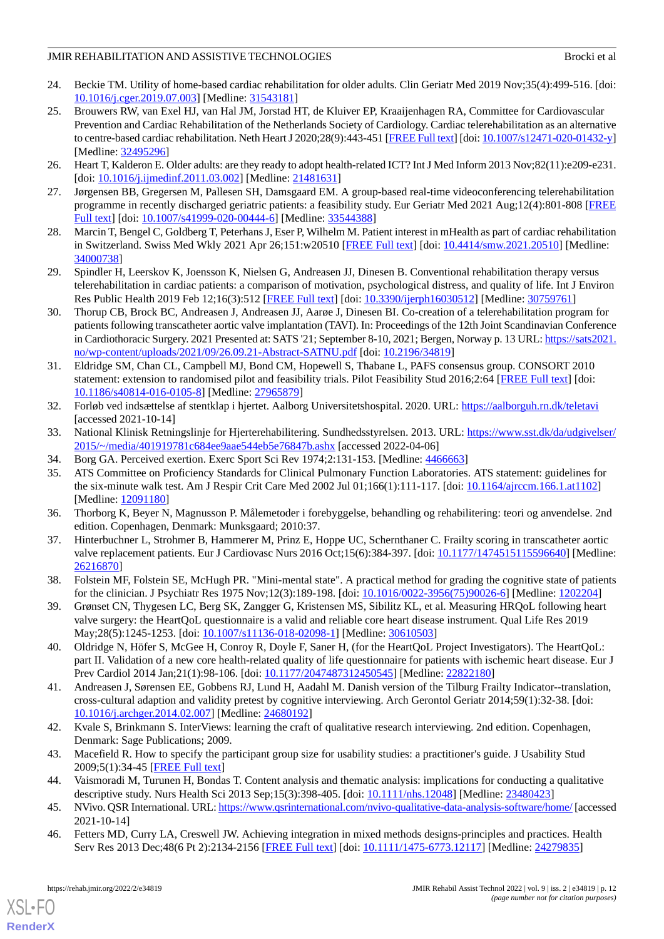- <span id="page-11-0"></span>24. Beckie TM. Utility of home-based cardiac rehabilitation for older adults. Clin Geriatr Med 2019 Nov;35(4):499-516. [doi: [10.1016/j.cger.2019.07.003](http://dx.doi.org/10.1016/j.cger.2019.07.003)] [Medline: [31543181](http://www.ncbi.nlm.nih.gov/entrez/query.fcgi?cmd=Retrieve&db=PubMed&list_uids=31543181&dopt=Abstract)]
- <span id="page-11-1"></span>25. Brouwers RW, van Exel HJ, van Hal JM, Jorstad HT, de Kluiver EP, Kraaijenhagen RA, Committee for Cardiovascular Prevention and Cardiac Rehabilitation of the Netherlands Society of Cardiology. Cardiac telerehabilitation as an alternative to centre-based cardiac rehabilitation. Neth Heart J 2020;28(9):443-451 [[FREE Full text\]](http://europepmc.org/abstract/MED/32495296) [doi: [10.1007/s12471-020-01432-y](http://dx.doi.org/10.1007/s12471-020-01432-y)] [Medline: [32495296](http://www.ncbi.nlm.nih.gov/entrez/query.fcgi?cmd=Retrieve&db=PubMed&list_uids=32495296&dopt=Abstract)]
- <span id="page-11-2"></span>26. Heart T, Kalderon E. Older adults: are they ready to adopt health-related ICT? Int J Med Inform 2013 Nov;82(11):e209-e231. [doi: [10.1016/j.ijmedinf.2011.03.002\]](http://dx.doi.org/10.1016/j.ijmedinf.2011.03.002) [Medline: [21481631\]](http://www.ncbi.nlm.nih.gov/entrez/query.fcgi?cmd=Retrieve&db=PubMed&list_uids=21481631&dopt=Abstract)
- <span id="page-11-3"></span>27. Jørgensen BB, Gregersen M, Pallesen SH, Damsgaard EM. A group-based real-time videoconferencing telerehabilitation programme in recently discharged geriatric patients: a feasibility study. Eur Geriatr Med 2021 Aug;12(4):801-808 [\[FREE](http://europepmc.org/abstract/MED/33544388) [Full text\]](http://europepmc.org/abstract/MED/33544388) [doi: [10.1007/s41999-020-00444-6](http://dx.doi.org/10.1007/s41999-020-00444-6)] [Medline: [33544388](http://www.ncbi.nlm.nih.gov/entrez/query.fcgi?cmd=Retrieve&db=PubMed&list_uids=33544388&dopt=Abstract)]
- <span id="page-11-4"></span>28. Marcin T, Bengel C, Goldberg T, Peterhans J, Eser P, Wilhelm M. Patient interest in mHealth as part of cardiac rehabilitation in Switzerland. Swiss Med Wkly 2021 Apr 26;151:w20510 [\[FREE Full text](https://doi.emh.ch/10.4414/smw.2021.20510)] [doi: [10.4414/smw.2021.20510](http://dx.doi.org/10.4414/smw.2021.20510)] [Medline: [34000738](http://www.ncbi.nlm.nih.gov/entrez/query.fcgi?cmd=Retrieve&db=PubMed&list_uids=34000738&dopt=Abstract)]
- <span id="page-11-5"></span>29. Spindler H, Leerskov K, Joensson K, Nielsen G, Andreasen JJ, Dinesen B. Conventional rehabilitation therapy versus telerehabilitation in cardiac patients: a comparison of motivation, psychological distress, and quality of life. Int J Environ Res Public Health 2019 Feb 12;16(3):512 [\[FREE Full text\]](https://www.mdpi.com/resolver?pii=ijerph16030512) [doi: [10.3390/ijerph16030512\]](http://dx.doi.org/10.3390/ijerph16030512) [Medline: [30759761](http://www.ncbi.nlm.nih.gov/entrez/query.fcgi?cmd=Retrieve&db=PubMed&list_uids=30759761&dopt=Abstract)]
- <span id="page-11-6"></span>30. Thorup CB, Brock BC, Andreasen J, Andreasen JJ, Aarøe J, Dinesen BI. Co-creation of a telerehabilitation program for patients following transcatheter aortic valve implantation (TAVI). In: Proceedings of the 12th Joint Scandinavian Conference in Cardiothoracic Surgery. 2021 Presented at: SATS '21; September 8-10, 2021; Bergen, Norway p. 13 URL: [https://sats2021.](https://sats2021.no/wp-content/uploads/2021/09/26.09.21-Abstract-SATNU.pdf) [no/wp-content/uploads/2021/09/26.09.21-Abstract-SATNU.pdf](https://sats2021.no/wp-content/uploads/2021/09/26.09.21-Abstract-SATNU.pdf) [doi: [10.2196/34819](http://dx.doi.org/10.2196/34819)]
- <span id="page-11-7"></span>31. Eldridge SM, Chan CL, Campbell MJ, Bond CM, Hopewell S, Thabane L, PAFS consensus group. CONSORT 2010 statement: extension to randomised pilot and feasibility trials. Pilot Feasibility Stud 2016;2:64 [[FREE Full text](https://pilotfeasibilitystudies.biomedcentral.com/articles/10.1186/s40814-016-0105-8)] [doi: [10.1186/s40814-016-0105-8\]](http://dx.doi.org/10.1186/s40814-016-0105-8) [Medline: [27965879](http://www.ncbi.nlm.nih.gov/entrez/query.fcgi?cmd=Retrieve&db=PubMed&list_uids=27965879&dopt=Abstract)]
- <span id="page-11-9"></span><span id="page-11-8"></span>32. Forløb ved indsættelse af stentklap i hjertet. Aalborg Universitetshospital. 2020. URL: <https://aalborguh.rn.dk/teletavi> [accessed 2021-10-14]
- <span id="page-11-10"></span>33. National Klinisk Retningslinje for Hjerterehabilitering. Sundhedsstyrelsen. 2013. URL: [https://www.sst.dk/da/udgivelser/](https://www.sst.dk/da/udgivelser/2015/~/media/401919781c684ee9aae544eb5e76847b.ashx) [2015/~/media/401919781c684ee9aae544eb5e76847b.ashx](https://www.sst.dk/da/udgivelser/2015/~/media/401919781c684ee9aae544eb5e76847b.ashx) [accessed 2022-04-06]
- <span id="page-11-11"></span>34. Borg GA. Perceived exertion. Exerc Sport Sci Rev 1974;2:131-153. [Medline: [4466663\]](http://www.ncbi.nlm.nih.gov/entrez/query.fcgi?cmd=Retrieve&db=PubMed&list_uids=4466663&dopt=Abstract)
- <span id="page-11-12"></span>35. ATS Committee on Proficiency Standards for Clinical Pulmonary Function Laboratories. ATS statement: guidelines for the six-minute walk test. Am J Respir Crit Care Med 2002 Jul 01;166(1):111-117. [doi: [10.1164/ajrccm.166.1.at1102\]](http://dx.doi.org/10.1164/ajrccm.166.1.at1102) [Medline: [12091180](http://www.ncbi.nlm.nih.gov/entrez/query.fcgi?cmd=Retrieve&db=PubMed&list_uids=12091180&dopt=Abstract)]
- <span id="page-11-13"></span>36. Thorborg K, Beyer N, Magnusson P. Målemetoder i forebyggelse, behandling og rehabilitering: teori og anvendelse. 2nd edition. Copenhagen, Denmark: Munksgaard; 2010:37.
- <span id="page-11-14"></span>37. Hinterbuchner L, Strohmer B, Hammerer M, Prinz E, Hoppe UC, Schernthaner C. Frailty scoring in transcatheter aortic valve replacement patients. Eur J Cardiovasc Nurs 2016 Oct;15(6):384-397. [doi: [10.1177/1474515115596640\]](http://dx.doi.org/10.1177/1474515115596640) [Medline: [26216870](http://www.ncbi.nlm.nih.gov/entrez/query.fcgi?cmd=Retrieve&db=PubMed&list_uids=26216870&dopt=Abstract)]
- <span id="page-11-15"></span>38. Folstein MF, Folstein SE, McHugh PR. "Mini-mental state". A practical method for grading the cognitive state of patients for the clinician. J Psychiatr Res 1975 Nov;12(3):189-198. [doi: [10.1016/0022-3956\(75\)90026-6\]](http://dx.doi.org/10.1016/0022-3956(75)90026-6) [Medline: [1202204](http://www.ncbi.nlm.nih.gov/entrez/query.fcgi?cmd=Retrieve&db=PubMed&list_uids=1202204&dopt=Abstract)]
- <span id="page-11-16"></span>39. Grønset CN, Thygesen LC, Berg SK, Zangger G, Kristensen MS, Sibilitz KL, et al. Measuring HRQoL following heart valve surgery: the HeartQoL questionnaire is a valid and reliable core heart disease instrument. Qual Life Res 2019 May; 28(5): 1245-1253. [doi: [10.1007/s11136-018-02098-1\]](http://dx.doi.org/10.1007/s11136-018-02098-1) [Medline: [30610503\]](http://www.ncbi.nlm.nih.gov/entrez/query.fcgi?cmd=Retrieve&db=PubMed&list_uids=30610503&dopt=Abstract)
- <span id="page-11-17"></span>40. Oldridge N, Höfer S, McGee H, Conroy R, Doyle F, Saner H, (for the HeartQoL Project Investigators). The HeartQoL: part II. Validation of a new core health-related quality of life questionnaire for patients with ischemic heart disease. Eur J Prev Cardiol 2014 Jan; 21(1): 98-106. [doi: [10.1177/2047487312450545\]](http://dx.doi.org/10.1177/2047487312450545) [Medline: [22822180](http://www.ncbi.nlm.nih.gov/entrez/query.fcgi?cmd=Retrieve&db=PubMed&list_uids=22822180&dopt=Abstract)]
- <span id="page-11-19"></span><span id="page-11-18"></span>41. Andreasen J, Sørensen EE, Gobbens RJ, Lund H, Aadahl M. Danish version of the Tilburg Frailty Indicator--translation, cross-cultural adaption and validity pretest by cognitive interviewing. Arch Gerontol Geriatr 2014;59(1):32-38. [doi: [10.1016/j.archger.2014.02.007](http://dx.doi.org/10.1016/j.archger.2014.02.007)] [Medline: [24680192\]](http://www.ncbi.nlm.nih.gov/entrez/query.fcgi?cmd=Retrieve&db=PubMed&list_uids=24680192&dopt=Abstract)
- <span id="page-11-20"></span>42. Kvale S, Brinkmann S. InterViews: learning the craft of qualitative research interviewing. 2nd edition. Copenhagen, Denmark: Sage Publications; 2009.
- <span id="page-11-21"></span>43. Macefield R. How to specify the participant group size for usability studies: a practitioner's guide. J Usability Stud 2009;5(1):34-45 [[FREE Full text](https://uxpajournal.org/how-to-specify-the-participant-group-size-for-usability-studies-a-practitioners-guide/)]
- 44. Vaismoradi M, Turunen H, Bondas T. Content analysis and thematic analysis: implications for conducting a qualitative descriptive study. Nurs Health Sci 2013 Sep;15(3):398-405. [doi: [10.1111/nhs.12048](http://dx.doi.org/10.1111/nhs.12048)] [Medline: [23480423\]](http://www.ncbi.nlm.nih.gov/entrez/query.fcgi?cmd=Retrieve&db=PubMed&list_uids=23480423&dopt=Abstract)
- 45. NVivo. QSR International. URL:<https://www.qsrinternational.com/nvivo-qualitative-data-analysis-software/home/> [accessed] 2021-10-14]
- 46. Fetters MD, Curry LA, Creswell JW. Achieving integration in mixed methods designs-principles and practices. Health Serv Res 2013 Dec;48(6 Pt 2):2134-2156 [\[FREE Full text\]](http://europepmc.org/abstract/MED/24279835) [doi: [10.1111/1475-6773.12117\]](http://dx.doi.org/10.1111/1475-6773.12117) [Medline: [24279835\]](http://www.ncbi.nlm.nih.gov/entrez/query.fcgi?cmd=Retrieve&db=PubMed&list_uids=24279835&dopt=Abstract)